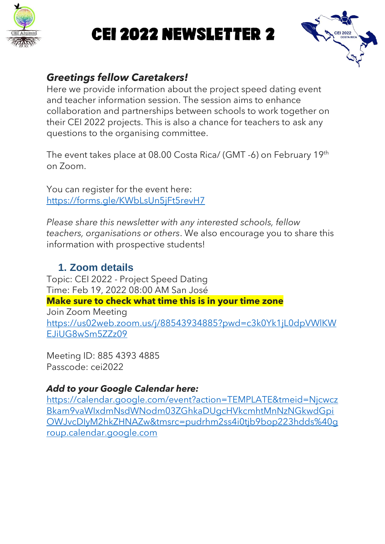

# CEI 2022 Newsletter 2



#### *Greetings fellow Caretakers!*

Here we provide information about the project speed dating event and teacher information session. The session aims to enhance collaboration and partnerships between schools to work together on their CEI 2022 projects. This is also a chance for teachers to ask any questions to the organising committee.

The event takes place at 08.00 Costa Rica/ (GMT -6) on February 19th on Zoom.

You can register for the event here: <https://forms.gle/KWbLsUn5jFt5revH7>

*Please share this newsletter with any interested schools, fellow teachers, organisations or others*. We also encourage you to share this information with prospective students!

#### **1. Zoom details**

Topic: CEI 2022 - Project Speed Dating Time: Feb 19, 2022 08:00 AM San José **Make sure to check what time this is in your time zone** Join Zoom Meeting [https://us02web.zoom.us/j/88543934885?pwd=c3k0Yk1jL0dpVWlKW](https://us02web.zoom.us/j/88543934885?pwd=c3k0Yk1jL0dpVWlKWEJiUG8wSm5ZZz09) [EJiUG8wSm5ZZz09](https://us02web.zoom.us/j/88543934885?pwd=c3k0Yk1jL0dpVWlKWEJiUG8wSm5ZZz09)

Meeting ID: 885 4393 4885 Passcode: cei2022

#### *Add to your Google Calendar here:*

[https://calendar.google.com/event?action=TEMPLATE&tmeid=Njcwcz](https://calendar.google.com/event?action=TEMPLATE&tmeid=NjcwczBkam9vaWIxdmNsdWNodm03ZGhkaDUgcHVkcmhtMnNzNGkwdGpiOWJvcDIyM2hkZHNAZw&tmsrc=pudrhm2ss4i0tjb9bop223hdds%40group.calendar.google.com) [Bkam9vaWIxdmNsdWNodm03ZGhkaDUgcHVkcmhtMnNzNGkwdGpi](https://calendar.google.com/event?action=TEMPLATE&tmeid=NjcwczBkam9vaWIxdmNsdWNodm03ZGhkaDUgcHVkcmhtMnNzNGkwdGpiOWJvcDIyM2hkZHNAZw&tmsrc=pudrhm2ss4i0tjb9bop223hdds%40group.calendar.google.com) [OWJvcDIyM2hkZHNAZw&tmsrc=pudrhm2ss4i0tjb9bop223hdds%40g](https://calendar.google.com/event?action=TEMPLATE&tmeid=NjcwczBkam9vaWIxdmNsdWNodm03ZGhkaDUgcHVkcmhtMnNzNGkwdGpiOWJvcDIyM2hkZHNAZw&tmsrc=pudrhm2ss4i0tjb9bop223hdds%40group.calendar.google.com) [roup.calendar.google.com](https://calendar.google.com/event?action=TEMPLATE&tmeid=NjcwczBkam9vaWIxdmNsdWNodm03ZGhkaDUgcHVkcmhtMnNzNGkwdGpiOWJvcDIyM2hkZHNAZw&tmsrc=pudrhm2ss4i0tjb9bop223hdds%40group.calendar.google.com)